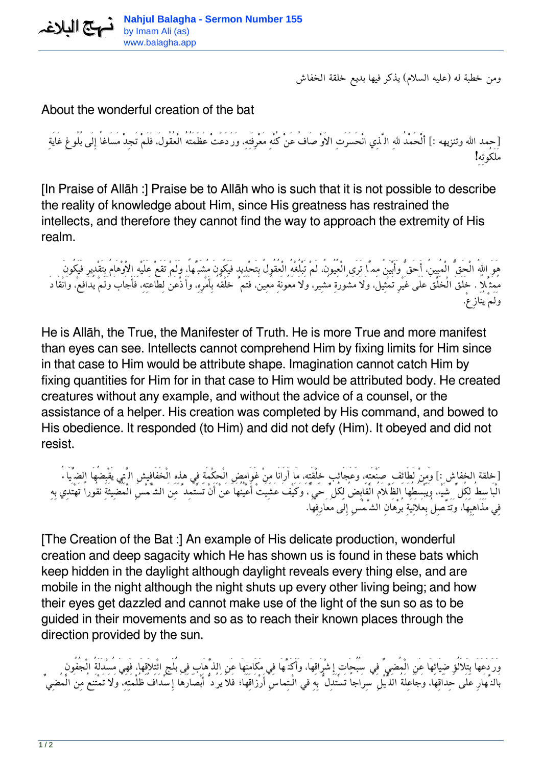*ومن خطبة له (عليه السلام) يذكر فيها بديع خلقة الخفاش*

## About the wonderful creation of the bat

*[حمد االله وتنزيهه :] ألْحَمْدُ اللهِ الَّذِي انْحَسَرَتِ الاَوْصَافُ عَنْ كُنْهِ مَعْرِفَتِه،ِ وَرَدَعَتْ عَظَمَتُهُ الْعُقُول،َ فَلَمْ تَجِدْ مَسَاغاً إِلَى بُلُوغِ غَايَةِ مَلَكُوتِهِ!*

[In Praise of Allāh :] Praise be to Allāh who is such that it is not possible to describe the reality of knowledge about Him, since His greatness has restrained the intellects, and therefore they cannot find the way to approach the extremity of His realm.

*هَوَ االلهُ الْحَقُّ الْمُبِين،ُ أَحَقُّ وَأَبْيَنُ مِمَّا تَرَى الْعُيُون،ُ لَمْ تَبْلُغْهُ الْعُقُولُ بِتَحْدِيد فَيَكُونَ مُشَبَّها،ً وَلَمْ تَقَعْ عَلَيْهِ الاْوْهَامُ بِتَقْدِير فَيَكُونَ مُمَثَّلاً . خَلَقَ الْخَلْقَ عَلَى غَيْرِ تَمْثِيل، وَلاَ مَشُورَةِ مُشِير، وَلاَ مَعُونَةِ مُعِين، فَتَمَّ خَلْقُهُ بِأَمْرِه،ِ وَأَذْعَنَ لِطَاعَتِه،ِ فَأَجَابَ وَلَمْ يُدَافِع،ْ وَانْقَادَ وَلَمْ يُنَازِع.ْ*

He is Allāh, the True, the Manifester of Truth. He is more True and more manifest than eyes can see. Intellects cannot comprehend Him by fixing limits for Him since in that case to Him would be attribute shape. Imagination cannot catch Him by fixing quantities for Him for in that case to Him would be attributed body. He created creatures without any example, and without the advice of a counsel, or the assistance of a helper. His creation was completed by His command, and bowed to His obedience. It responded (to Him) and did not defy (Him). It obeyed and did not resist.

*[خلقة الخفاش :] وَمِنْ لَطَائِفِ صَنْعَتِه،ِ وَعَجَائِبِ خِلْقَتِه،ِ مَا أَرَانَا مِنْ غَوَامِضِ الْحِكْمَةِ فِي هذِهِ الْخَفَافِيشِ الَّتِي يَقْبِضُهَا الضِّيَاءُ الْبَاسِطُ لِكُلِّ شَيْء، وَيَبْسُطُهَا الظَّلاَمُ الْقَابِضُ لِكُلِّ حَيٍّ، وَكَيْفَ عَشِيَتْ أَعْيُنُهَا عَنْ أَنْ تَسْتَمِدَّ مِنَ الشَّمْسِ الْمُضِيئَةِ نقُوراً تَهْتَدِي بِهِ فِي مَذَاهِبِهَا، وَتَتَّصِلُ بِعَلاَنِيَةِ بُرْهَانِ الشَّمْسِ إِلَى مَعَارِفِهَا.*

[The Creation of the Bat :] An example of His delicate production, wonderful creation and deep sagacity which He has shown us is found in these bats which keep hidden in the daylight although daylight reveals every thing else, and are mobile in the night although the night shuts up every other living being; and how their eyes get dazzled and cannot make use of the light of the sun so as to be guided in their movements and so as to reach their known places through the direction provided by the sun.

*وَرَدَعَهَا بِتَلاَلُؤِ ضِيَائِهَا عَنِ الْمُضِيِّ فِي سُبُحَاتِ إِشْرَاقِهَا، وَأَكَنَّهَا فِي مَكَامِنِهَا عَنِ الذَّهَابِ فِى بُلَجِ ائْتِلاَقِهَا، فَهِيَ مُسْدَلَةُ الْجُفُونِ بَالنَّهَارِ عَلَى حِدَاقِهَا، وَجَاعِلَةُ اللَّيْلِ سِرَاجاً تَسْتَدِلُّ بِهِ في الْـتِماسِ أَرْزَاقِهَا; فَلاَ يَرُدُّ أَبْصَارَهَا إِسْدَافُ ظُلْمَتِه،ِ وَلاَ تَمْتَنِعُ مِنَ الْمُضِيِّ*